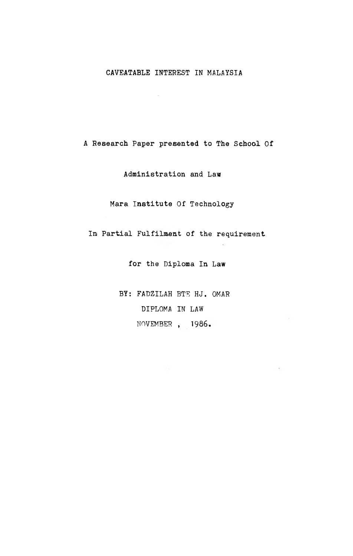## CAVEATABLE INTEREST IN MALAYSIA

A Research Paper presented to The School Of

Administration and Law

Mara Institute Of Technology

In Partial Fulfilment of the requirement

for the Diploma In Law

BY: FADZILAH BTE HJ. OMAR DIPLOMA IN LAW NOVEMBER , 1986.

 $\sim 10$ 

 $\sim$   $\tau$   $\sim$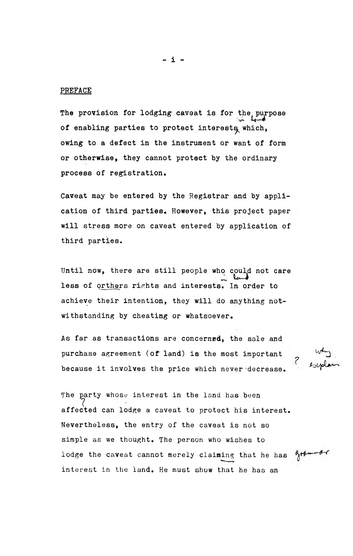## PREFACE

The provision for lodging caveat is for the purpose of enabling parties to protect interests which, owing to a defect in the instrument or want of form or otherwise, they cannot protect by the ordinary process of registration.

Caveat may be entered by the Registrar and by application of third parties. However, this project paper will stress more on caveat entered by application of third parties.

Until now, there are still people who could not care less of orthers rights and interests. In order to achieve their intention, they will do anything notwithstanding by cheating or whatsoever.

As far as transactions are concerned, the sale and purchase agreement (of land) is the most Important because it involves the price which never decrease.

The party whose interest in the land has been  $\langle$ affected can lodge a caveat to protect his interest. Nevertheless, the entry of the caveat is not so simple as we thought. The person who wishes to lodge the caveat cannot merely claiming that he has interest in the land. He must show that he has an

- i -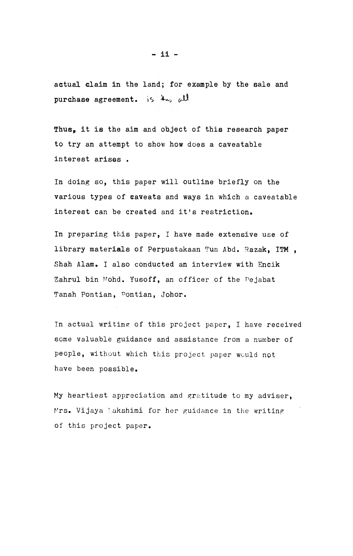actual claim in the land; for example by the sale and purchase agreement. is  $\mathcal{H}_{\mathbf{w}_0}$  all

Thus, it is the aim and object of this research paper to try an attempt to show how does a caveatable interest arises .

In doing so, this paper will outline briefly on the various types of caveats and ways in which a caveatable interest can be created and it's restriction.

In preparing this paper, I have made extensive use of library materials of Perpustakaan Tun Abd. Razak, ITM, Shah Alam. I also conducted an interview with Encik Zahrul bin Mohd. Yusoff, an officer of the Pejabat Tanah Pontian, Pontian, Johor.

In actual writing of this project paper, I have received some valuable guidance and assistance from a number of people, without which this project paper would not have been possible.

My heartiest appreciation and gratitude to my adviser, Mrs. Vijaya Lakshimi for her guidance in the writing of this project paper.

- ii -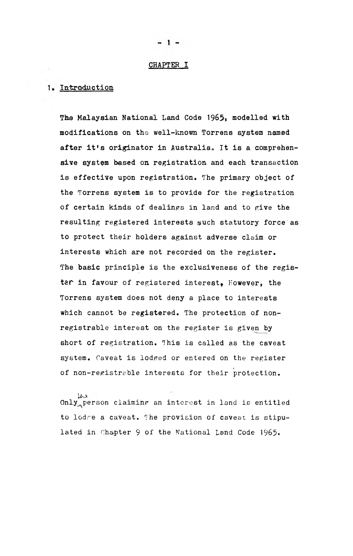## CHAPTER I

## 1. Introduction

The Malaysian National Land Code 1965, modelled with modifications on the well-known Torrens system named after it's originator in Australia. It is a comprehensive system based on registration and each transaction is effective upon registration. The primary object of the Torrens system is to provide for the registration of certain kinds of dealings in land and to give the resulting registered interests such statutory force as to protect their holders against adverse claim or interests which are not recorded on the register. The basic principle is the exclusiveness of the register in favour of registered interest, However, the Torrens system does not deny a place to interests which cannot be registered. The protection of nonregistrable interest on the register is given by short of registration. This is called as the caveat system. Caveat is lodged or entered on the register of non-registrable interests for their protection.

 $\mu$ <br>Only person claiming an interest in land is entitled to lodre a caveat. The provision of caveat is stipulated in.Chapter 9 of the National Land Code 1965-

 $\mathbf{1}$   $\blacksquare$